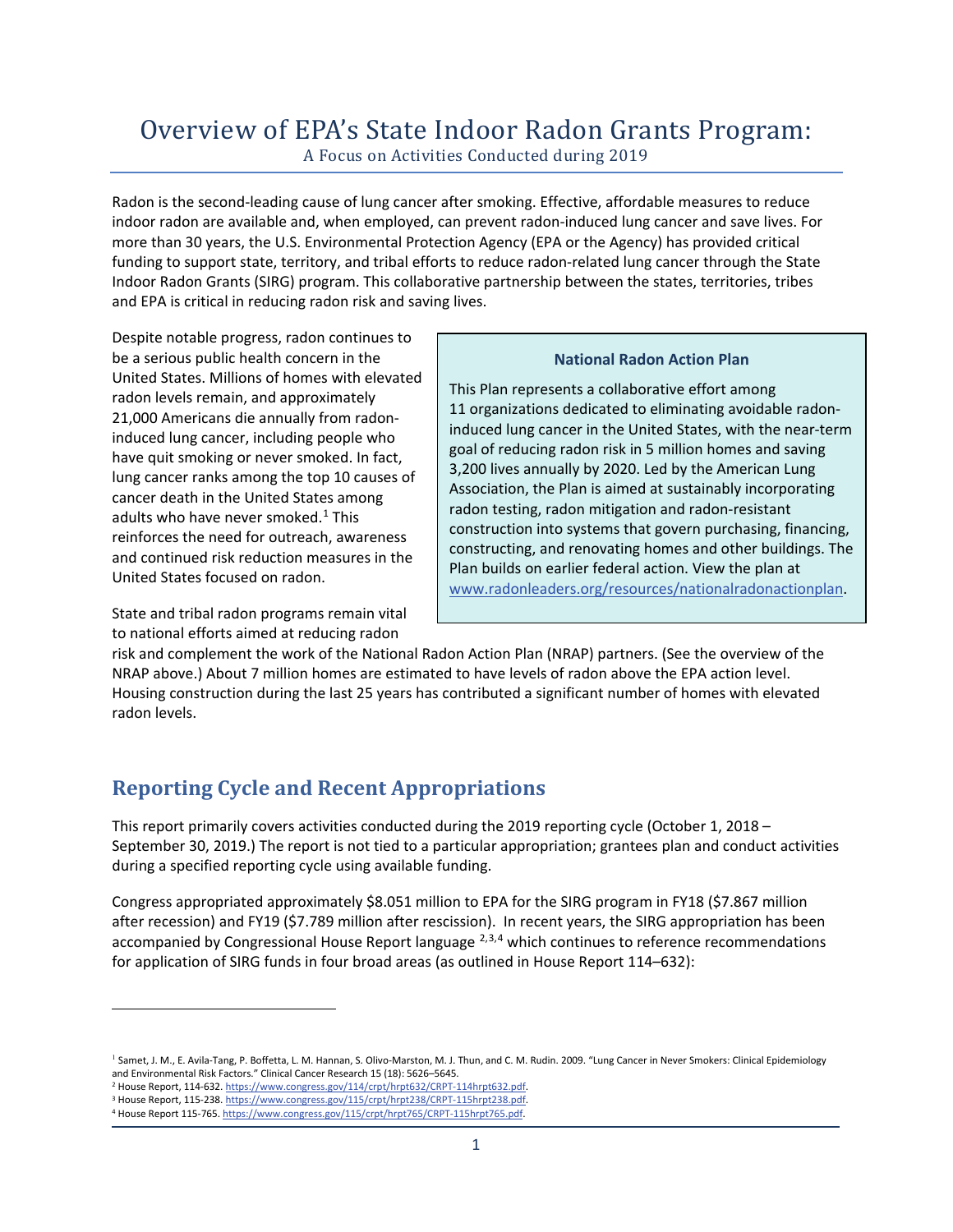# Overview of EPA's State Indoor Radon Grants Program: A Focus on Activities Conducted during 2019

Radon is the second-leading cause of lung cancer after smoking. Effective, affordable measures to reduce indoor radon are available and, when employed, can prevent radon-induced lung cancer and save lives. For more than 30 years, the U.S. Environmental Protection Agency (EPA or the Agency) has provided critical funding to support state, territory, and tribal efforts to reduce radon-related lung cancer through the State Indoor Radon Grants (SIRG) program. This collaborative partnership between the states, territories, tribes and EPA is critical in reducing radon risk and saving lives.

Despite notable progress, radon continues to be a serious public health concern in the United States. Millions of homes with elevated radon levels remain, and approximately 21,000 Americans die annually from radoninduced lung cancer, including people who have quit smoking or never smoked. In fact, lung cancer ranks among the top 10 causes of cancer death in the United States among adults who have never smoked. $1$  This reinforces the need for outreach, awareness and continued risk reduction measures in the United States focused on radon.

State and tribal radon programs remain vital to national efforts aimed at reducing radon

#### **National Radon Action Plan**

This Plan represents a collaborative effort among 11 organizations dedicated to eliminating avoidable radoninduced lung cancer in the United States, with the near-term goal of reducing radon risk in 5 million homes and saving 3,200 lives annually by 2020. Led by the American Lung Association, the Plan is aimed at sustainably incorporating radon testing, radon mitigation and radon-resistant construction into systems that govern purchasing, financing, constructing, and renovating homes and other buildings. The Plan builds on earlier federal action. View the plan at www.radonleaders.org/resources/nationalradonactionplan.

risk and complement the work of the National Radon Action Plan (NRAP) partners. (See the overview of the NRAP above.) About 7 million homes are estimated to have levels of radon above the EPA action level. Housing construction during the last 25 years has contributed a significant number of homes with elevated radon levels.

# **Reporting Cycle and Recent Appropriations**

This report primarily covers activities conducted during the 2019 reporting cycle (October 1, 2018 – September 30, 2019.) The report is not tied to a particular appropriation; grantees plan and conduct activities during a specified reporting cycle using available funding.

Congress appropriated approximately \$8.051 million to EPA for the SIRG program in FY18 (\$7.867 million after recession) and FY19 (\$7.789 million after rescission). In recent years, the SIRG appropriation has been accompanied by Congressional House Report language <sup>2,3,4</sup> which continues to reference recommendations for application of SIRG funds in four broad areas (as outlined in House Report 114–632):

<sup>&</sup>lt;sup>1</sup> Samet, J. M., E. Avila-Tang, P. Boffetta, L. M. Hannan, S. Olivo-Marston, M. J. Thun, and C. M. Rudin. 2009. "Lung Cancer in Never Smokers: Clinical Epidemiology and Environmental Risk Factors." Clinical Cancer Research 15 (18): 5626–5645.

<sup>&</sup>lt;sup>2</sup> House Report, 114-632. https://www.congress.gov/114/crpt/hrpt632/CRPT-114hrpt632.pdf.<br><sup>3</sup> House Report, 115-238. https://www.congress.gov/115/crpt/hrpt238/CRPT-115hrpt238.pdf.<br>4 House Report 115-765. https://www.congre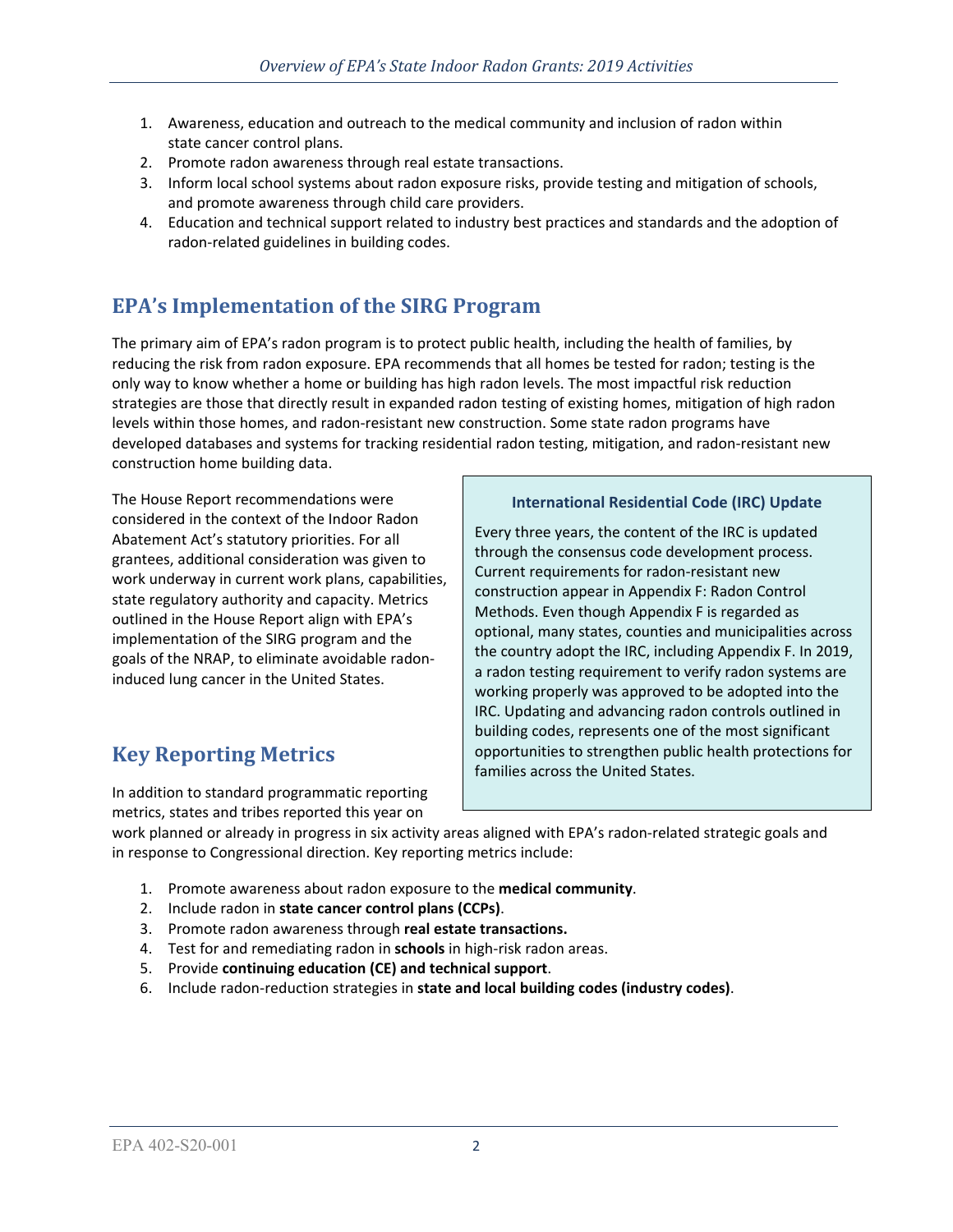- 1. Awareness, education and outreach to the medical community and inclusion of radon within state cancer control plans.
- 2. Promote radon awareness through real estate transactions.
- 3. Inform local school systems about radon exposure risks, provide testing and mitigation of schools, and promote awareness through child care providers.
- 4. Education and technical support related to industry best practices and standards and the adoption of radon-related guidelines in building codes.

# **EPA's Implementation of the SIRG Program**

The primary aim of EPA's radon program is to protect public health, including the health of families, by reducing the risk from radon exposure. EPA recommends that all homes be tested for radon; testing is the only way to know whether a home or building has high radon levels. The most impactful risk reduction strategies are those that directly result in expanded radon testing of existing homes, mitigation of high radon levels within those homes, and radon-resistant new construction. Some state radon programs have developed databases and systems for tracking residential radon testing, mitigation, and radon-resistant new construction home building data.

The House Report recommendations were considered in the context of the Indoor Radon Abatement Act's statutory priorities. For all grantees, additional consideration was given to work underway in current work plans, capabilities, state regulatory authority and capacity. Metrics outlined in the House Report align with EPA's implementation of the SIRG program and the goals of the NRAP, to eliminate avoidable radoninduced lung cancer in the United States.

# **Key Reporting Metrics**

In addition to standard programmatic reporting metrics, states and tribes reported this year on

## **International Residential Code (IRC) Update**

Every three years, the content of the IRC is updated through the consensus code development process. Current requirements for radon-resistant new construction appear in Appendix F: Radon Control Methods. Even though Appendix F is regarded as optional, many states, counties and municipalities across the country adopt the IRC, including Appendix F. In 2019, a radon testing requirement to verify radon systems are working properly was approved to be adopted into the IRC. Updating and advancing radon controls outlined in building codes, represents one of the most significant opportunities to strengthen public health protections for families across the United States.

work planned or already in progress in six activity areas aligned with EPA's radon-related strategic goals and in response to Congressional direction. Key reporting metrics include:

- 1. Promote awareness about radon exposure to the **medical community**.
- 2. Include radon in **state cancer control plans (CCPs)**.
- 3. Promote radon awareness through **real estate transactions.**
- 4. Test for and remediating radon in **schools** in high-risk radon areas.
- 5. Provide **continuing education (CE) and technical support**.
- 6. Include radon-reduction strategies in **state and local building codes (industry codes)**.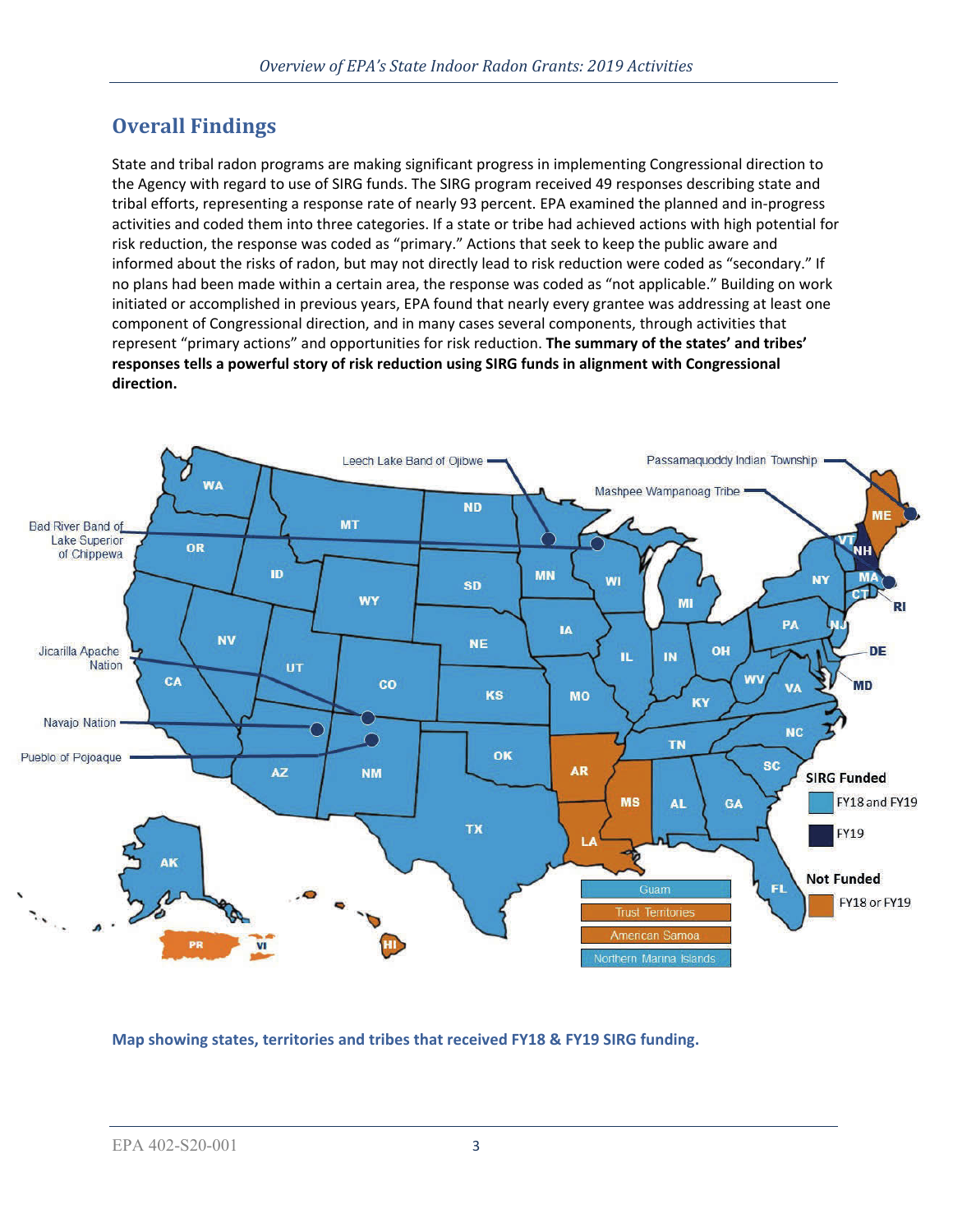# **Overall Findings**

State and tribal radon programs are making significant progress in implementing Congressional direction to the Agency with regard to use of SIRG funds. The SIRG program received 49 responses describing state and tribal efforts, representing a response rate of nearly 93 percent. EPA examined the planned and in-progress activities and coded them into three categories. If a state or tribe had achieved actions with high potential for risk reduction, the response was coded as "primary." Actions that seek to keep the public aware and informed about the risks of radon, but may not directly lead to risk reduction were coded as "secondary." If no plans had been made within a certain area, the response was coded as "not applicable." Building on work initiated or accomplished in previous years, EPA found that nearly every grantee was addressing at least one component of Congressional direction, and in many cases several components, through activities that represent "primary actions" and opportunities for risk reduction. **The summary of the states' and tribes' responses tells a powerful story of risk reduction using SIRG funds in alignment with Congressional direction.** 



**Map showing states, territories and tribes that received FY18 & FY19 SIRG funding.**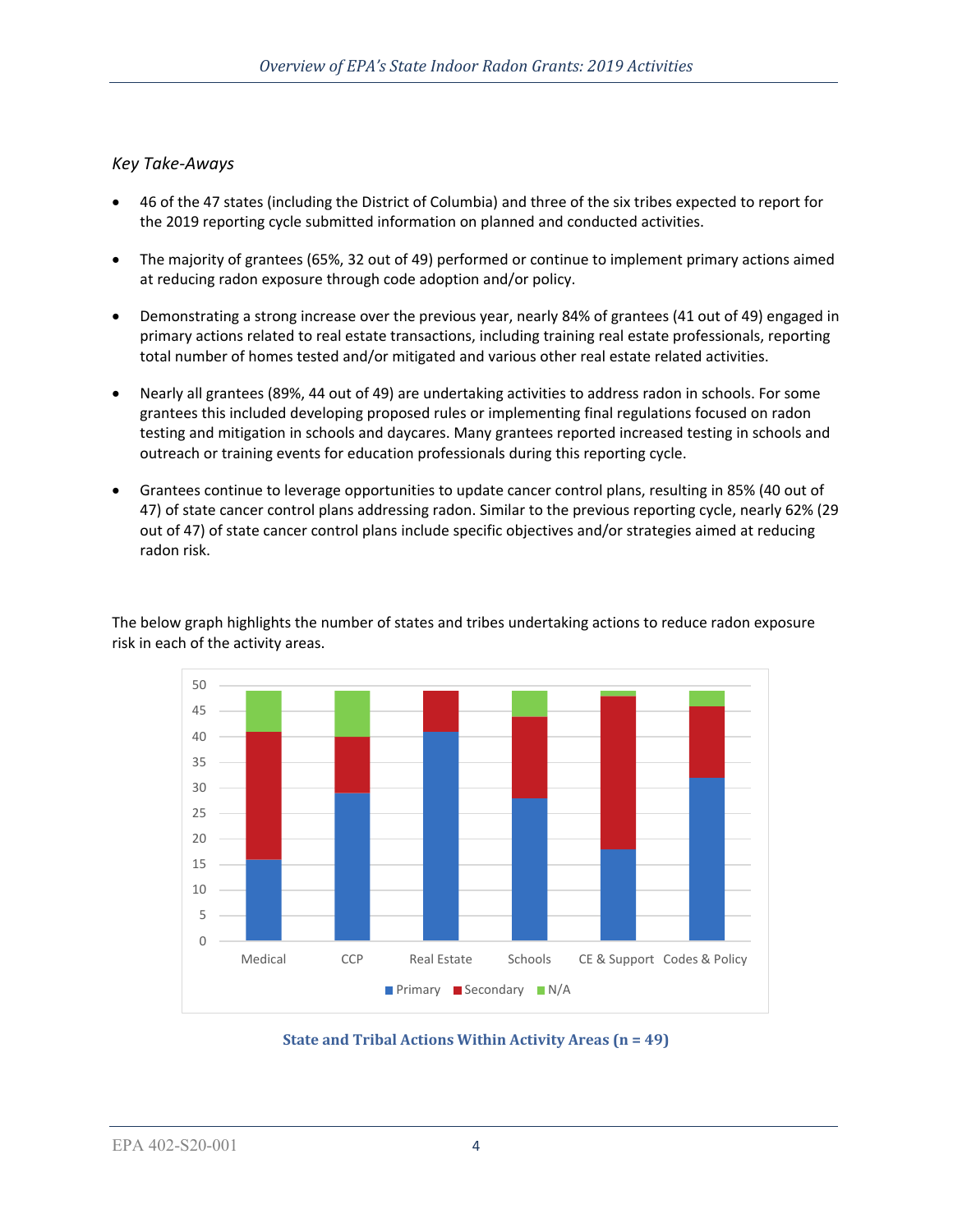## *Key Take-Aways*

- 46 of the 47 states (including the District of Columbia) and three of the six tribes expected to report for the 2019 reporting cycle submitted information on planned and conducted activities.
- The majority of grantees (65%, 32 out of 49) performed or continue to implement primary actions aimed at reducing radon exposure through code adoption and/or policy.
- Demonstrating a strong increase over the previous year, nearly 84% of grantees (41 out of 49) engaged in primary actions related to real estate transactions, including training real estate professionals, reporting total number of homes tested and/or mitigated and various other real estate related activities.
- Nearly all grantees (89%, 44 out of 49) are undertaking activities to address radon in schools. For some grantees this included developing proposed rules or implementing final regulations focused on radon testing and mitigation in schools and daycares. Many grantees reported increased testing in schools and outreach or training events for education professionals during this reporting cycle.
- Grantees continue to leverage opportunities to update cancer control plans, resulting in 85% (40 out of 47) of state cancer control plans addressing radon. Similar to the previous reporting cycle, nearly 62% (29 out of 47) of state cancer control plans include specific objectives and/or strategies aimed at reducing radon risk.





**State and Tribal Actions Within Activity Areas (n = 49)**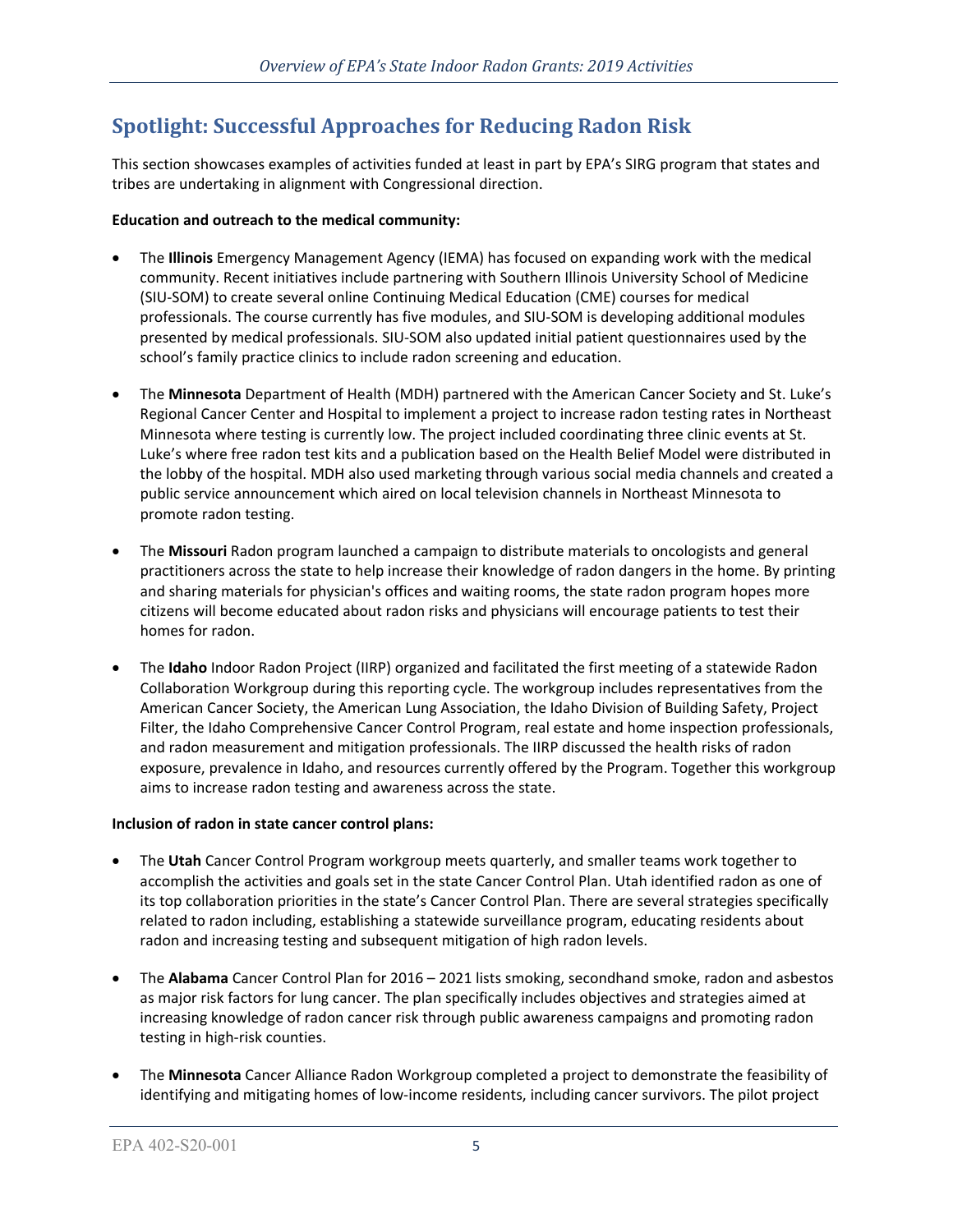# **Spotlight: Successful Approaches for Reducing Radon Risk**

This section showcases examples of activities funded at least in part by EPA's SIRG program that states and tribes are undertaking in alignment with Congressional direction.

## **Education and outreach to the medical community:**

- The **Illinois** Emergency Management Agency (IEMA) has focused on expanding work with the medical community. Recent initiatives include partnering with Southern Illinois University School of Medicine (SIU-SOM) to create several online Continuing Medical Education (CME) courses for medical professionals. The course currently has five modules, and SIU-SOM is developing additional modules presented by medical professionals. SIU-SOM also updated initial patient questionnaires used by the school's family practice clinics to include radon screening and education.
- The **Minnesota** Department of Health (MDH) partnered with the American Cancer Society and St. Luke's Regional Cancer Center and Hospital to implement a project to increase radon testing rates in Northeast Minnesota where testing is currently low. The project included coordinating three clinic events at St. Luke's where free radon test kits and a publication based on the Health Belief Model were distributed in the lobby of the hospital. MDH also used marketing through various social media channels and created a public service announcement which aired on local television channels in Northeast Minnesota to promote radon testing.
- The **Missouri** Radon program launched a campaign to distribute materials to oncologists and general practitioners across the state to help increase their knowledge of radon dangers in the home. By printing and sharing materials for physician's offices and waiting rooms, the state radon program hopes more citizens will become educated about radon risks and physicians will encourage patients to test their homes for radon.
- The **Idaho** Indoor Radon Project (IIRP) organized and facilitated the first meeting of a statewide Radon Collaboration Workgroup during this reporting cycle. The workgroup includes representatives from the American Cancer Society, the American Lung Association, the Idaho Division of Building Safety, Project Filter, the Idaho Comprehensive Cancer Control Program, real estate and home inspection professionals, and radon measurement and mitigation professionals. The IIRP discussed the health risks of radon exposure, prevalence in Idaho, and resources currently offered by the Program. Together this workgroup aims to increase radon testing and awareness across the state.

### **Inclusion of radon in state cancer control plans:**

- The **Utah** Cancer Control Program workgroup meets quarterly, and smaller teams work together to accomplish the activities and goals set in the state Cancer Control Plan. Utah identified radon as one of its top collaboration priorities in the state's Cancer Control Plan. There are several strategies specifically related to radon including, establishing a statewide surveillance program, educating residents about radon and increasing testing and subsequent mitigation of high radon levels.
- The **Alabama** Cancer Control Plan for 2016 2021 lists smoking, secondhand smoke, radon and asbestos as major risk factors for lung cancer. The plan specifically includes objectives and strategies aimed at increasing knowledge of radon cancer risk through public awareness campaigns and promoting radon testing in high-risk counties.
- The **Minnesota** Cancer Alliance Radon Workgroup completed a project to demonstrate the feasibility of identifying and mitigating homes of low-income residents, including cancer survivors. The pilot project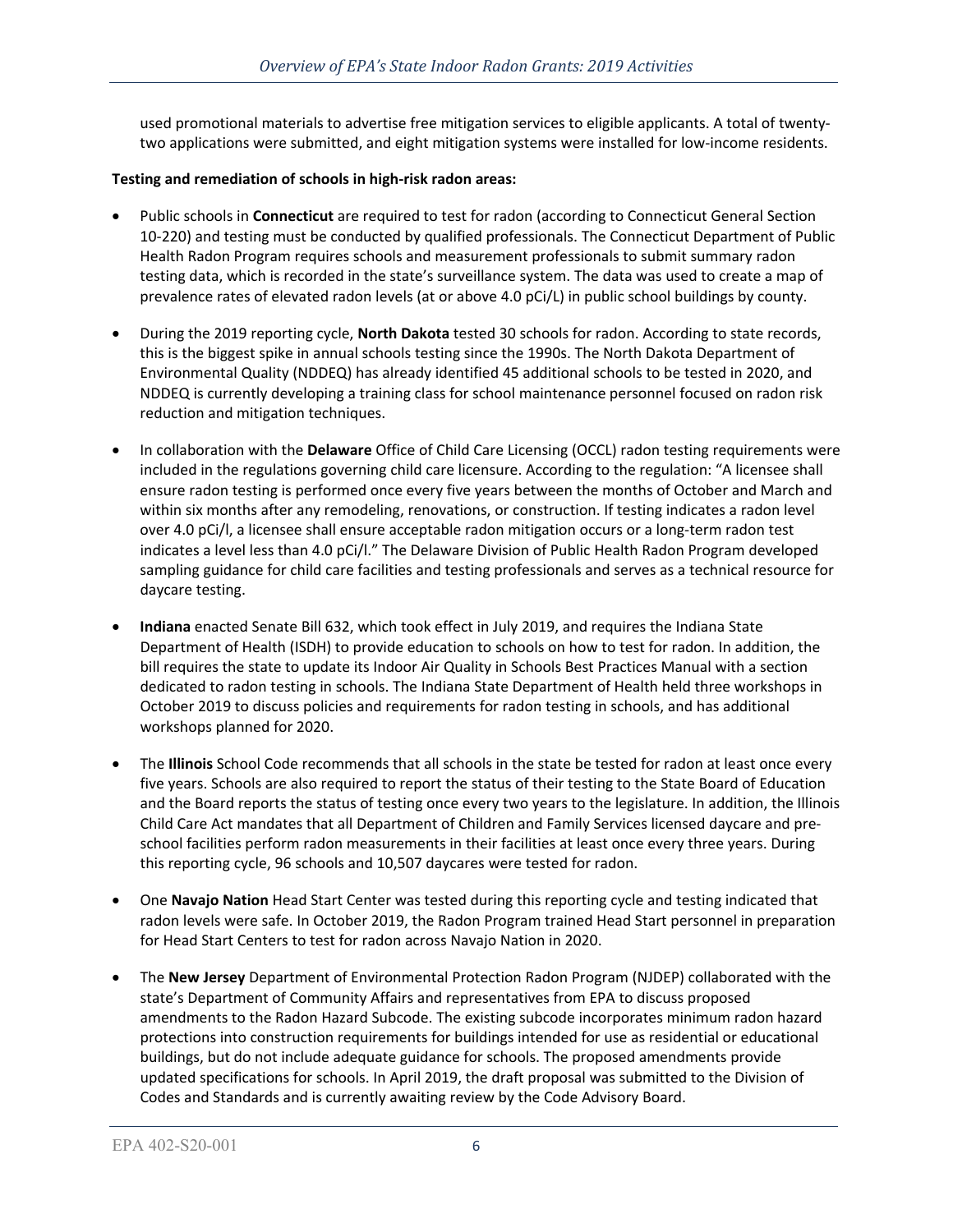used promotional materials to advertise free mitigation services to eligible applicants. A total of twentytwo applications were submitted, and eight mitigation systems were installed for low-income residents.

## **Testing and remediation of schools in high-risk radon areas:**

- Public schools in **Connecticut** are required to test for radon (according to Connecticut General Section 10-220) and testing must be conducted by qualified professionals. The Connecticut Department of Public Health Radon Program requires schools and measurement professionals to submit summary radon testing data, which is recorded in the state's surveillance system. The data was used to create a map of prevalence rates of elevated radon levels (at or above 4.0 pCi/L) in public school buildings by county.
- During the 2019 reporting cycle, **North Dakota** tested 30 schools for radon. According to state records, this is the biggest spike in annual schools testing since the 1990s. The North Dakota Department of Environmental Quality (NDDEQ) has already identified 45 additional schools to be tested in 2020, and NDDEQ is currently developing a training class for school maintenance personnel focused on radon risk reduction and mitigation techniques.
- In collaboration with the **Delaware** Office of Child Care Licensing (OCCL) radon testing requirements were included in the regulations governing child care licensure. According to the regulation: "A licensee shall ensure radon testing is performed once every five years between the months of October and March and within six months after any remodeling, renovations, or construction. If testing indicates a radon level over 4.0 pCi/l, a licensee shall ensure acceptable radon mitigation occurs or a long-term radon test indicates a level less than 4.0 pCi/l." The Delaware Division of Public Health Radon Program developed sampling guidance for child care facilities and testing professionals and serves as a technical resource for daycare testing.
- **Indiana** enacted Senate Bill 632, which took effect in July 2019, and requires the Indiana State Department of Health (ISDH) to provide education to schools on how to test for radon. In addition, the bill requires the state to update its Indoor Air Quality in Schools Best Practices Manual with a section dedicated to radon testing in schools. The Indiana State Department of Health held three workshops in October 2019 to discuss policies and requirements for radon testing in schools, and has additional workshops planned for 2020.
- The **Illinois** School Code recommends that all schools in the state be tested for radon at least once every five years. Schools are also required to report the status of their testing to the State Board of Education and the Board reports the status of testing once every two years to the legislature. In addition, the Illinois Child Care Act mandates that all Department of Children and Family Services licensed daycare and preschool facilities perform radon measurements in their facilities at least once every three years. During this reporting cycle, 96 schools and 10,507 daycares were tested for radon.
- One **Navajo Nation** Head Start Center was tested during this reporting cycle and testing indicated that radon levels were safe. In October 2019, the Radon Program trained Head Start personnel in preparation for Head Start Centers to test for radon across Navajo Nation in 2020.
- The **New Jersey** Department of Environmental Protection Radon Program (NJDEP) collaborated with the state's Department of Community Affairs and representatives from EPA to discuss proposed amendments to the Radon Hazard Subcode. The existing subcode incorporates minimum radon hazard protections into construction requirements for buildings intended for use as residential or educational buildings, but do not include adequate guidance for schools. The proposed amendments provide updated specifications for schools. In April 2019, the draft proposal was submitted to the Division of Codes and Standards and is currently awaiting review by the Code Advisory Board.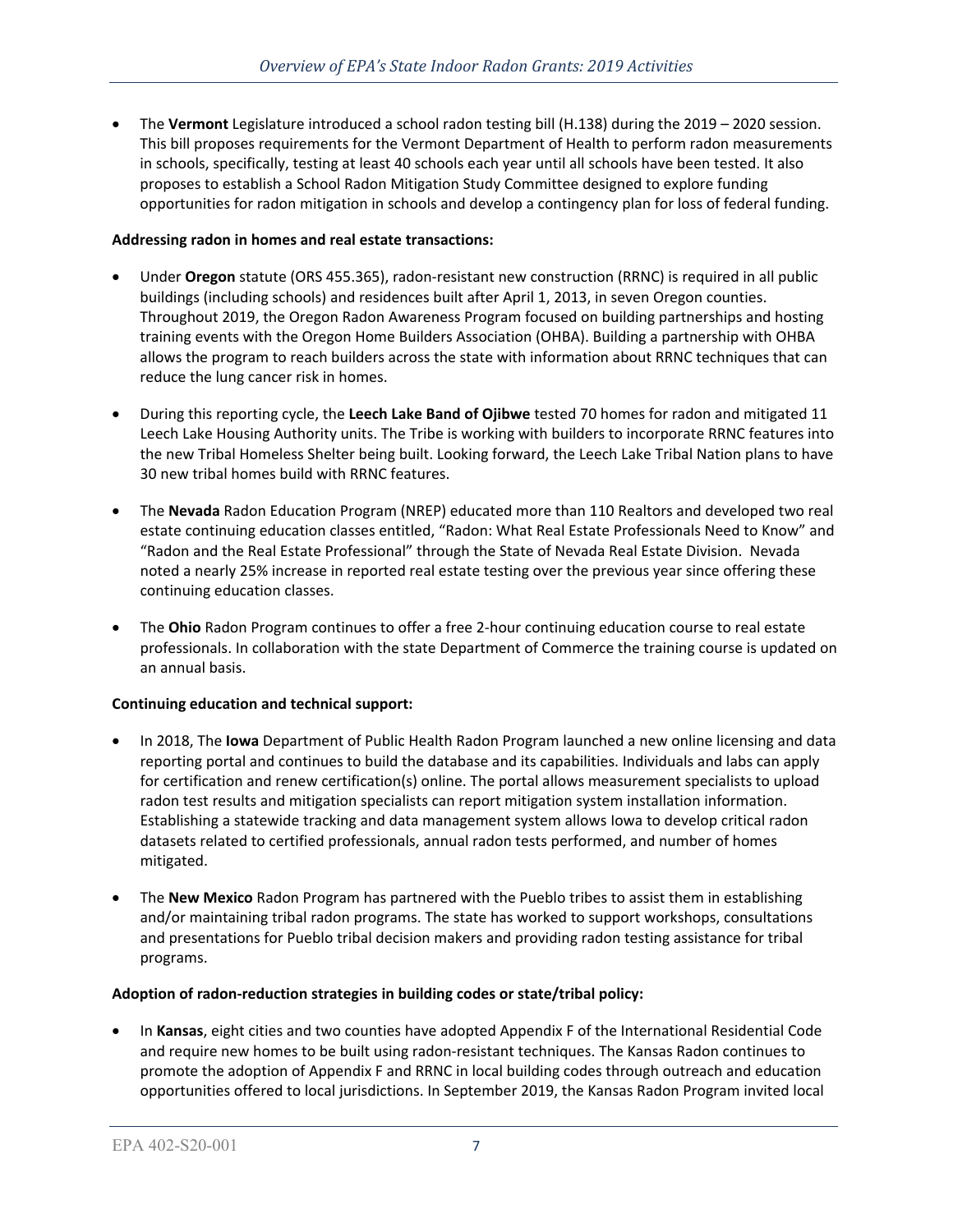• The **Vermont** Legislature introduced a school radon testing bill (H.138) during the 2019 – 2020 session. This bill proposes requirements for the Vermont Department of Health to perform radon measurements in schools, specifically, testing at least 40 schools each year until all schools have been tested. It also proposes to establish a School Radon Mitigation Study Committee designed to explore funding opportunities for radon mitigation in schools and develop a contingency plan for loss of federal funding.

## **Addressing radon in homes and real estate transactions:**

- Under **Oregon** statute (ORS 455.365), radon-resistant new construction (RRNC) is required in all public buildings (including schools) and residences built after April 1, 2013, in seven Oregon counties. Throughout 2019, the Oregon Radon Awareness Program focused on building partnerships and hosting training events with the Oregon Home Builders Association (OHBA). Building a partnership with OHBA allows the program to reach builders across the state with information about RRNC techniques that can reduce the lung cancer risk in homes.
- During this reporting cycle, the **Leech Lake Band of Ojibwe** tested 70 homes for radon and mitigated 11 Leech Lake Housing Authority units. The Tribe is working with builders to incorporate RRNC features into the new Tribal Homeless Shelter being built. Looking forward, the Leech Lake Tribal Nation plans to have 30 new tribal homes build with RRNC features.
- The **Nevada** Radon Education Program (NREP) educated more than 110 Realtors and developed two real estate continuing education classes entitled, "Radon: What Real Estate Professionals Need to Know" and "Radon and the Real Estate Professional" through the State of Nevada Real Estate Division. Nevada noted a nearly 25% increase in reported real estate testing over the previous year since offering these continuing education classes.
- The **Ohio** Radon Program continues to offer a free 2-hour continuing education course to real estate professionals. In collaboration with the state Department of Commerce the training course is updated on an annual basis.

### **Continuing education and technical support:**

- In 2018, The **Iowa** Department of Public Health Radon Program launched a new online licensing and data reporting portal and continues to build the database and its capabilities. Individuals and labs can apply for certification and renew certification(s) online. The portal allows measurement specialists to upload radon test results and mitigation specialists can report mitigation system installation information. Establishing a statewide tracking and data management system allows Iowa to develop critical radon datasets related to certified professionals, annual radon tests performed, and number of homes mitigated.
- The **New Mexico** Radon Program has partnered with the Pueblo tribes to assist them in establishing and/or maintaining tribal radon programs. The state has worked to support workshops, consultations and presentations for Pueblo tribal decision makers and providing radon testing assistance for tribal programs.

### **Adoption of radon-reduction strategies in building codes or state/tribal policy:**

• In **Kansas**, eight cities and two counties have adopted Appendix F of the International Residential Code and require new homes to be built using radon-resistant techniques. The Kansas Radon continues to promote the adoption of Appendix F and RRNC in local building codes through outreach and education opportunities offered to local jurisdictions. In September 2019, the Kansas Radon Program invited local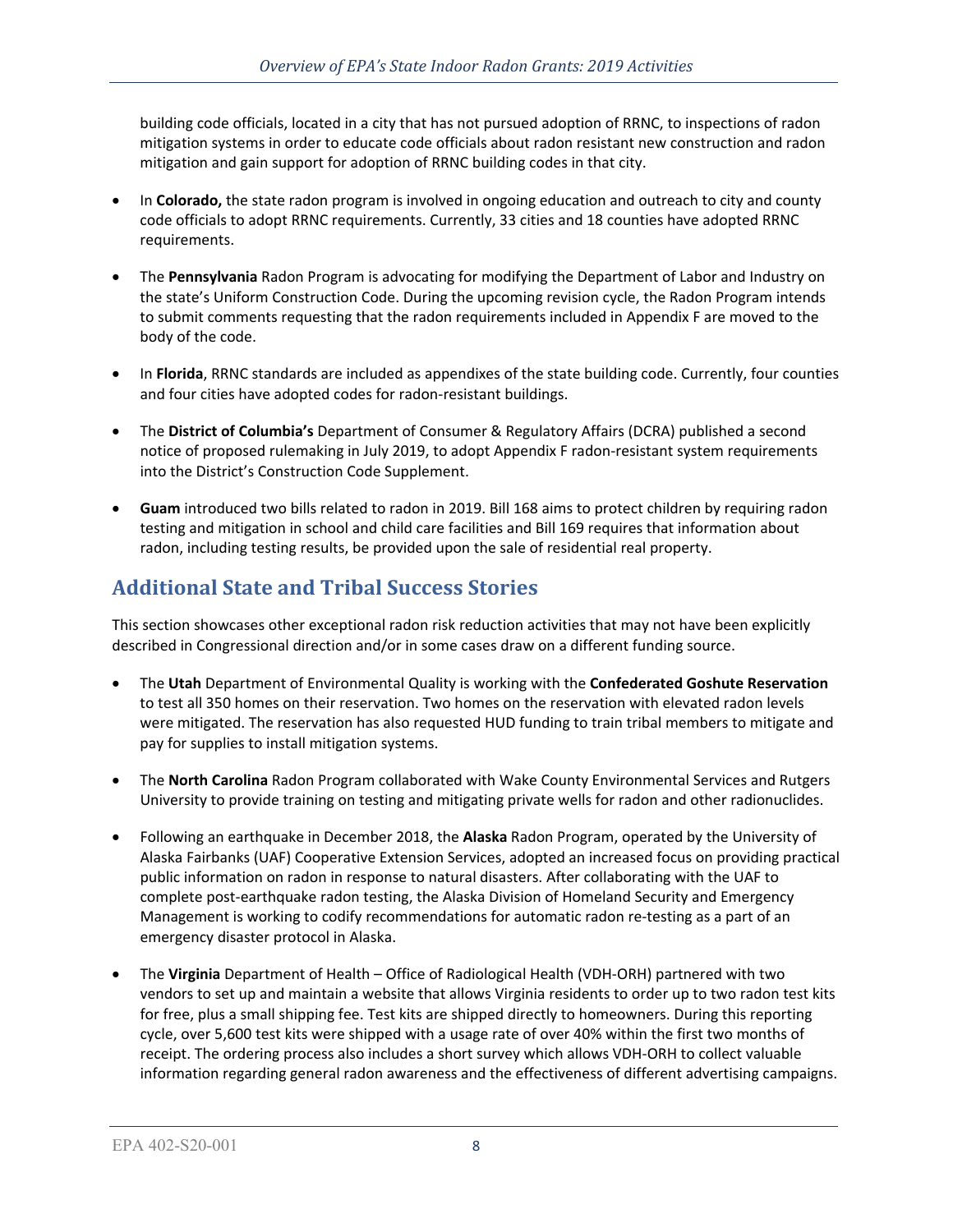building code officials, located in a city that has not pursued adoption of RRNC, to inspections of radon mitigation systems in order to educate code officials about radon resistant new construction and radon mitigation and gain support for adoption of RRNC building codes in that city.

- In **Colorado,** the state radon program is involved in ongoing education and outreach to city and county code officials to adopt RRNC requirements. Currently, 33 cities and 18 counties have adopted RRNC requirements.
- The **Pennsylvania** Radon Program is advocating for modifying the Department of Labor and Industry on the state's Uniform Construction Code. During the upcoming revision cycle, the Radon Program intends to submit comments requesting that the radon requirements included in Appendix F are moved to the body of the code.
- In **Florida**, RRNC standards are included as appendixes of the state building code. Currently, four counties and four cities have adopted codes for radon-resistant buildings.
- The **District of Columbia's** Department of Consumer & Regulatory Affairs (DCRA) published a second notice of proposed rulemaking in July 2019, to adopt Appendix F radon-resistant system requirements into the District's Construction Code Supplement.
- **Guam** introduced two bills related to radon in 2019. Bill 168 aims to protect children by requiring radon testing and mitigation in school and child care facilities and Bill 169 requires that information about radon, including testing results, be provided upon the sale of residential real property.

# **Additional State and Tribal Success Stories**

This section showcases other exceptional radon risk reduction activities that may not have been explicitly described in Congressional direction and/or in some cases draw on a different funding source.

- The **Utah** Department of Environmental Quality is working with the **Confederated Goshute Reservation** to test all 350 homes on their reservation. Two homes on the reservation with elevated radon levels were mitigated. The reservation has also requested HUD funding to train tribal members to mitigate and pay for supplies to install mitigation systems.
- The **North Carolina** Radon Program collaborated with Wake County Environmental Services and Rutgers University to provide training on testing and mitigating private wells for radon and other radionuclides.
- Following an earthquake in December 2018, the **Alaska** Radon Program, operated by the University of Alaska Fairbanks (UAF) Cooperative Extension Services, adopted an increased focus on providing practical public information on radon in response to natural disasters. After collaborating with the UAF to complete post-earthquake radon testing, the Alaska Division of Homeland Security and Emergency Management is working to codify recommendations for automatic radon re-testing as a part of an emergency disaster protocol in Alaska.
- The **Virginia** Department of Health Office of Radiological Health (VDH-ORH) partnered with two vendors to set up and maintain a website that allows Virginia residents to order up to two radon test kits for free, plus a small shipping fee. Test kits are shipped directly to homeowners. During this reporting cycle, over 5,600 test kits were shipped with a usage rate of over 40% within the first two months of receipt. The ordering process also includes a short survey which allows VDH-ORH to collect valuable information regarding general radon awareness and the effectiveness of different advertising campaigns.